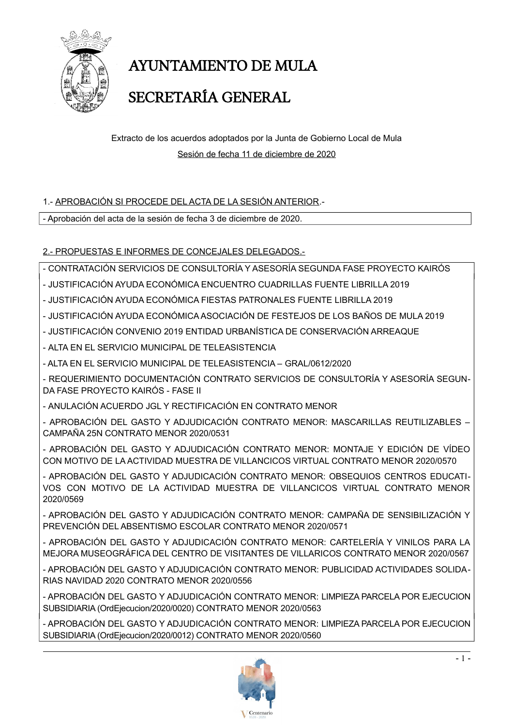

# AYUNTAMIENTO DE MULA SECRETARÍA GENERAL

Extracto de los acuerdos adoptados por la Junta de Gobierno Local de Mula Sesión de fecha 11 de diciembre de 2020

#### 1.- APROBACIÓN SI PROCEDE DEL ACTA DE LA SESIÓN ANTERIOR.-

- Aprobación del acta de la sesión de fecha 3 de diciembre de 2020.

#### 2.- PROPUESTAS E INFORMES DE CONCEJALES DELEGADOS.-

- CONTRATACIÓN SERVICIOS DE CONSULTORÍA Y ASESORÍA SEGUNDA FASE PROYECTO KAIRÓS

- JUSTIFICACIÓN AYUDA ECONÓMICA ENCUENTRO CUADRILLAS FUENTE LIBRILLA 2019
- JUSTIFICACIÓN AYUDA ECONÓMICA FIESTAS PATRONALES FUENTE LIBRILLA 2019
- JUSTIFICACIÓN AYUDA ECONÓMICA ASOCIACIÓN DE FESTEJOS DE LOS BAÑOS DE MULA 2019
- JUSTIFICACIÓN CONVENIO 2019 ENTIDAD URBANÍSTICA DE CONSERVACIÓN ARREAQUE

- ALTA EN EL SERVICIO MUNICIPAL DE TELEASISTENCIA

- ALTA EN EL SERVICIO MUNICIPAL DE TELEASISTENCIA – GRAL/0612/2020

- REQUERIMIENTO DOCUMENTACIÓN CONTRATO SERVICIOS DE CONSULTORÍA Y ASESORÍA SEGUN-DA FASE PROYECTO KAIRÓS - FASE II

- ANULACIÓN ACUERDO JGL Y RECTIFICACIÓN EN CONTRATO MENOR

- APROBACIÓN DEL GASTO Y ADJUDICACIÓN CONTRATO MENOR: MASCARILLAS REUTILIZABLES – CAMPAÑA 25N CONTRATO MENOR 2020/0531

- APROBACIÓN DEL GASTO Y ADJUDICACIÓN CONTRATO MENOR: MONTAJE Y EDICIÓN DE VÍDEO CON MOTIVO DE LA ACTIVIDAD MUESTRA DE VILLANCICOS VIRTUAL CONTRATO MENOR 2020/0570

- APROBACIÓN DEL GASTO Y ADJUDICACIÓN CONTRATO MENOR: OBSEQUIOS CENTROS EDUCATI-VOS CON MOTIVO DE LA ACTIVIDAD MUESTRA DE VILLANCICOS VIRTUAL CONTRATO MENOR 2020/0569

- APROBACIÓN DEL GASTO Y ADJUDICACIÓN CONTRATO MENOR: CAMPAÑA DE SENSIBILIZACIÓN Y PREVENCIÓN DEL ABSENTISMO ESCOLAR CONTRATO MENOR 2020/0571

- APROBACIÓN DEL GASTO Y ADJUDICACIÓN CONTRATO MENOR: CARTELERÍA Y VINILOS PARA LA MEJORA MUSEOGRÁFICA DEL CENTRO DE VISITANTES DE VILLARICOS CONTRATO MENOR 2020/0567

- APROBACIÓN DEL GASTO Y ADJUDICACIÓN CONTRATO MENOR: PUBLICIDAD ACTIVIDADES SOLIDA-RIAS NAVIDAD 2020 CONTRATO MENOR 2020/0556

- APROBACIÓN DEL GASTO Y ADJUDICACIÓN CONTRATO MENOR: LIMPIEZA PARCELA POR EJECUCION SUBSIDIARIA (OrdEjecucion/2020/0020) CONTRATO MENOR 2020/0563

- APROBACIÓN DEL GASTO Y ADJUDICACIÓN CONTRATO MENOR: LIMPIEZA PARCELA POR EJECUCION SUBSIDIARIA (OrdEjecucion/2020/0012) CONTRATO MENOR 2020/0560

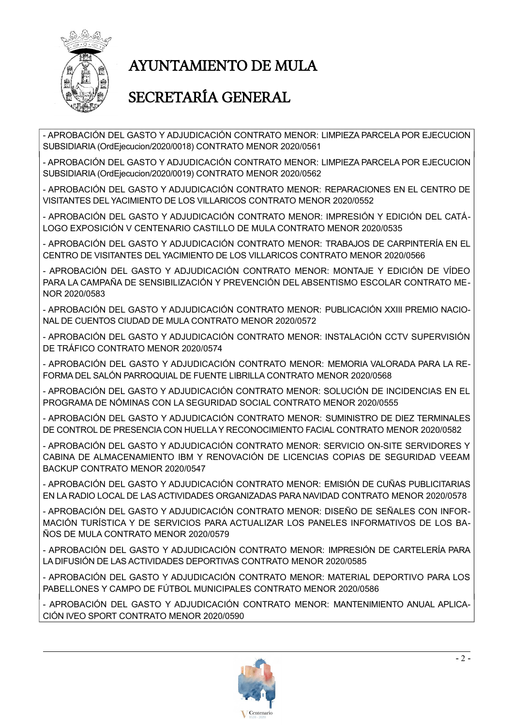

# AYUNTAMIENTO DE MULA

### SECRETARÍA GENERAL

- APROBACIÓN DEL GASTO Y ADJUDICACIÓN CONTRATO MENOR: LIMPIEZA PARCELA POR EJECUCION SUBSIDIARIA (OrdEjecucion/2020/0018) CONTRATO MENOR 2020/0561

- APROBACIÓN DEL GASTO Y ADJUDICACIÓN CONTRATO MENOR: LIMPIEZA PARCELA POR EJECUCION SUBSIDIARIA (OrdEjecucion/2020/0019) CONTRATO MENOR 2020/0562

- APROBACIÓN DEL GASTO Y ADJUDICACIÓN CONTRATO MENOR: REPARACIONES EN EL CENTRO DE VISITANTES DEL YACIMIENTO DE LOS VILLARICOS CONTRATO MENOR 2020/0552

- APROBACIÓN DEL GASTO Y ADJUDICACIÓN CONTRATO MENOR: IMPRESIÓN Y EDICIÓN DEL CATÁ-LOGO EXPOSICIÓN V CENTENARIO CASTILLO DE MULA CONTRATO MENOR 2020/0535

- APROBACIÓN DEL GASTO Y ADJUDICACIÓN CONTRATO MENOR: TRABAJOS DE CARPINTERÍA EN EL CENTRO DE VISITANTES DEL YACIMIENTO DE LOS VILLARICOS CONTRATO MENOR 2020/0566

- APROBACIÓN DEL GASTO Y ADJUDICACIÓN CONTRATO MENOR: MONTAJE Y EDICIÓN DE VÍDEO PARA LA CAMPAÑA DE SENSIBILIZACIÓN Y PREVENCIÓN DEL ABSENTISMO ESCOLAR CONTRATO ME-NOR 2020/0583

- APROBACIÓN DEL GASTO Y ADJUDICACIÓN CONTRATO MENOR: PUBLICACIÓN XXIII PREMIO NACIO-NAL DE CUENTOS CIUDAD DE MULA CONTRATO MENOR 2020/0572

- APROBACIÓN DEL GASTO Y ADJUDICACIÓN CONTRATO MENOR: INSTALACIÓN CCTV SUPERVISIÓN DE TRÁFICO CONTRATO MENOR 2020/0574

- APROBACIÓN DEL GASTO Y ADJUDICACIÓN CONTRATO MENOR: MEMORIA VALORADA PARA LA RE-FORMA DEL SALÓN PARROQUIAL DE FUENTE LIBRILLA CONTRATO MENOR 2020/0568

- APROBACIÓN DEL GASTO Y ADJUDICACIÓN CONTRATO MENOR: SOLUCIÓN DE INCIDENCIAS EN EL PROGRAMA DE NÓMINAS CON LA SEGURIDAD SOCIAL CONTRATO MENOR 2020/0555

- APROBACIÓN DEL GASTO Y ADJUDICACIÓN CONTRATO MENOR: SUMINISTRO DE DIEZ TERMINALES DE CONTROL DE PRESENCIA CON HUELLA Y RECONOCIMIENTO FACIAL CONTRATO MENOR 2020/0582

- APROBACIÓN DEL GASTO Y ADJUDICACIÓN CONTRATO MENOR: SERVICIO ON-SITE SERVIDORES Y CABINA DE ALMACENAMIENTO IBM Y RENOVACIÓN DE LICENCIAS COPIAS DE SEGURIDAD VEEAM BACKUP CONTRATO MENOR 2020/0547

- APROBACIÓN DEL GASTO Y ADJUDICACIÓN CONTRATO MENOR: EMISIÓN DE CUÑAS PUBLICITARIAS EN LA RADIO LOCAL DE LAS ACTIVIDADES ORGANIZADAS PARA NAVIDAD CONTRATO MENOR 2020/0578

- APROBACIÓN DEL GASTO Y ADJUDICACIÓN CONTRATO MENOR: DISEÑO DE SEÑALES CON INFOR-MACIÓN TURÍSTICA Y DE SERVICIOS PARA ACTUALIZAR LOS PANELES INFORMATIVOS DE LOS BA-ÑOS DE MULA CONTRATO MENOR 2020/0579

- APROBACIÓN DEL GASTO Y ADJUDICACIÓN CONTRATO MENOR: IMPRESIÓN DE CARTELERÍA PARA LA DIFUSIÓN DE LAS ACTIVIDADES DEPORTIVAS CONTRATO MENOR 2020/0585

- APROBACIÓN DEL GASTO Y ADJUDICACIÓN CONTRATO MENOR: MATERIAL DEPORTIVO PARA LOS PABELLONES Y CAMPO DE FÚTBOL MUNICIPALES CONTRATO MENOR 2020/0586

- APROBACIÓN DEL GASTO Y ADJUDICACIÓN CONTRATO MENOR: MANTENIMIENTO ANUAL APLICA-CIÓN IVEO SPORT CONTRATO MENOR 2020/0590

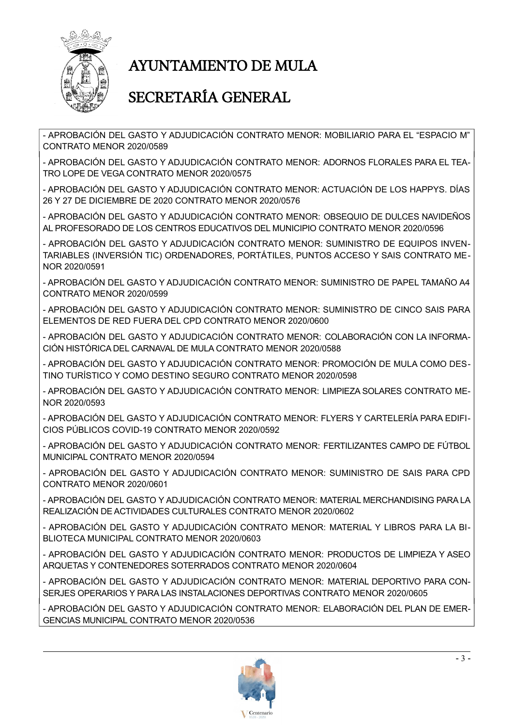

## AYUNTAMIENTO DE MULA

### SECRETARÍA GENERAL

- APROBACIÓN DEL GASTO Y ADJUDICACIÓN CONTRATO MENOR: MOBILIARIO PARA EL "ESPACIO M" CONTRATO MENOR 2020/0589

- APROBACIÓN DEL GASTO Y ADJUDICACIÓN CONTRATO MENOR: ADORNOS FLORALES PARA EL TEA-TRO LOPE DE VEGA CONTRATO MENOR 2020/0575

- APROBACIÓN DEL GASTO Y ADJUDICACIÓN CONTRATO MENOR: ACTUACIÓN DE LOS HAPPYS. DÍAS 26 Y 27 DE DICIEMBRE DE 2020 CONTRATO MENOR 2020/0576

- APROBACIÓN DEL GASTO Y ADJUDICACIÓN CONTRATO MENOR: OBSEQUIO DE DULCES NAVIDEÑOS AL PROFESORADO DE LOS CENTROS EDUCATIVOS DEL MUNICIPIO CONTRATO MENOR 2020/0596

- APROBACIÓN DEL GASTO Y ADJUDICACIÓN CONTRATO MENOR: SUMINISTRO DE EQUIPOS INVEN-TARIABLES (INVERSIÓN TIC) ORDENADORES, PORTÁTILES, PUNTOS ACCESO Y SAIS CONTRATO ME-NOR 2020/0591

- APROBACIÓN DEL GASTO Y ADJUDICACIÓN CONTRATO MENOR: SUMINISTRO DE PAPEL TAMAÑO A4 CONTRATO MENOR 2020/0599

- APROBACIÓN DEL GASTO Y ADJUDICACIÓN CONTRATO MENOR: SUMINISTRO DE CINCO SAIS PARA ELEMENTOS DE RED FUERA DEL CPD CONTRATO MENOR 2020/0600

- APROBACIÓN DEL GASTO Y ADJUDICACIÓN CONTRATO MENOR: COLABORACIÓN CON LA INFORMA-CIÓN HISTÓRICA DEL CARNAVAL DE MULA CONTRATO MENOR 2020/0588

- APROBACIÓN DEL GASTO Y ADJUDICACIÓN CONTRATO MENOR: PROMOCIÓN DE MULA COMO DES-TINO TURÍSTICO Y COMO DESTINO SEGURO CONTRATO MENOR 2020/0598

- APROBACIÓN DEL GASTO Y ADJUDICACIÓN CONTRATO MENOR: LIMPIEZA SOLARES CONTRATO ME-NOR 2020/0593

- APROBACIÓN DEL GASTO Y ADJUDICACIÓN CONTRATO MENOR: FLYERS Y CARTELERÍA PARA EDIFI-CIOS PÚBLICOS COVID-19 CONTRATO MENOR 2020/0592

- APROBACIÓN DEL GASTO Y ADJUDICACIÓN CONTRATO MENOR: FERTILIZANTES CAMPO DE FÚTBOL MUNICIPAL CONTRATO MENOR 2020/0594

- APROBACIÓN DEL GASTO Y ADJUDICACIÓN CONTRATO MENOR: SUMINISTRO DE SAIS PARA CPD CONTRATO MENOR 2020/0601

- APROBACIÓN DEL GASTO Y ADJUDICACIÓN CONTRATO MENOR: MATERIAL MERCHANDISING PARA LA REALIZACIÓN DE ACTIVIDADES CULTURALES CONTRATO MENOR 2020/0602

- APROBACIÓN DEL GASTO Y ADJUDICACIÓN CONTRATO MENOR: MATERIAL Y LIBROS PARA LA BI-BLIOTECA MUNICIPAL CONTRATO MENOR 2020/0603

- APROBACIÓN DEL GASTO Y ADJUDICACIÓN CONTRATO MENOR: PRODUCTOS DE LIMPIEZA Y ASEO ARQUETAS Y CONTENEDORES SOTERRADOS CONTRATO MENOR 2020/0604

- APROBACIÓN DEL GASTO Y ADJUDICACIÓN CONTRATO MENOR: MATERIAL DEPORTIVO PARA CON-SERJES OPERARIOS Y PARA LAS INSTALACIONES DEPORTIVAS CONTRATO MENOR 2020/0605

- APROBACIÓN DEL GASTO Y ADJUDICACIÓN CONTRATO MENOR: ELABORACIÓN DEL PLAN DE EMER-GENCIAS MUNICIPAL CONTRATO MENOR 2020/0536